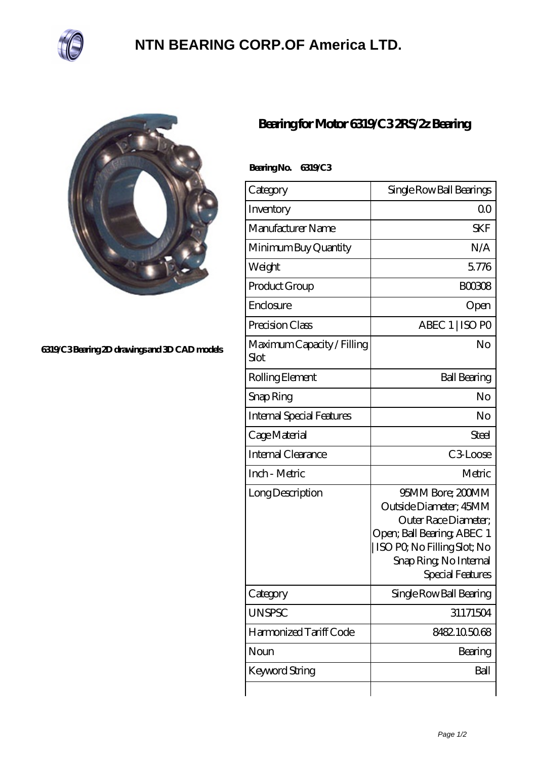

## **[NTN BEARING CORP.OF America LTD.](https://m.ilustradorainfantil.com)**

 **Bearing No. 6319/C3**



## **[6319/C3 Bearing 2D drawings and 3D CAD models](https://m.ilustradorainfantil.com/pic-506199.html)**

## **[Bearing for Motor 6319/C3 2RS/2z Bearing](https://m.ilustradorainfantil.com/sell-506199-bearing-for-motor-6319-c3-2rs-2z-bearing.html)**

| Category                           | Single Row Ball Bearings                                                                                                                                                     |
|------------------------------------|------------------------------------------------------------------------------------------------------------------------------------------------------------------------------|
| Inventory                          | 0 <sup>0</sup>                                                                                                                                                               |
| Manufacturer Name                  | <b>SKF</b>                                                                                                                                                                   |
| Minimum Buy Quantity               | N/A                                                                                                                                                                          |
| Weight                             | 5776                                                                                                                                                                         |
| Product Group                      | BOO3O8                                                                                                                                                                       |
| Enclosure                          | Open                                                                                                                                                                         |
| Precision Class                    | ABEC 1   ISO PO                                                                                                                                                              |
| Maximum Capacity / Filling<br>Slot | No                                                                                                                                                                           |
| Rolling Element                    | <b>Ball Bearing</b>                                                                                                                                                          |
| Snap Ring                          | No                                                                                                                                                                           |
| <b>Internal Special Features</b>   | No                                                                                                                                                                           |
| Cage Material                      | Steel                                                                                                                                                                        |
| <b>Internal Clearance</b>          | C <sub>3</sub> Loose                                                                                                                                                         |
| Inch - Metric                      | Metric                                                                                                                                                                       |
| Long Description                   | 95MM Bore; 200MM<br>Outside Diameter; 45MM<br>Outer Race Diameter;<br>Open; Ball Bearing; ABEC 1<br>ISO PQ No Filling Slot; No<br>Snap Ring, No Internal<br>Special Features |
| Category                           | Single Row Ball Bearing                                                                                                                                                      |
| <b>UNSPSC</b>                      | 31171504                                                                                                                                                                     |
| Harmonized Tariff Code             | 8482.105068                                                                                                                                                                  |
| Noun                               | Bearing                                                                                                                                                                      |
| <b>Keyword String</b>              | Ball                                                                                                                                                                         |
|                                    |                                                                                                                                                                              |